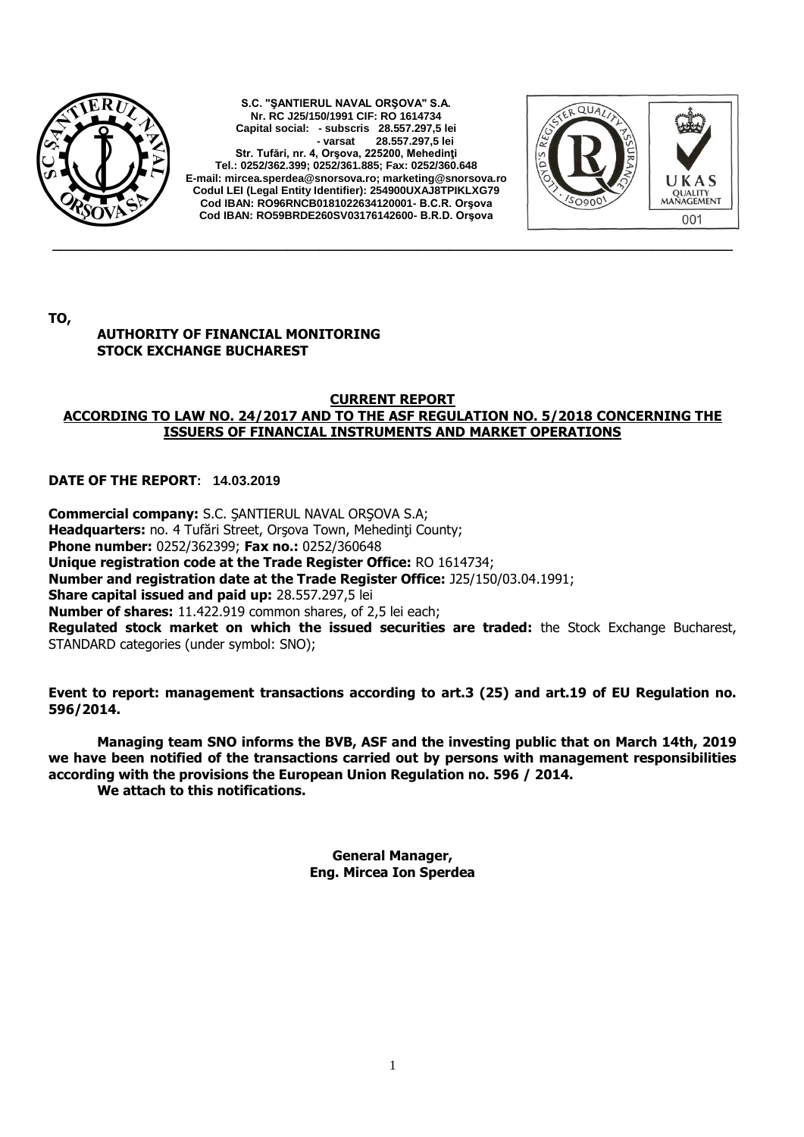

**S.C. "ŞANTIERUL NAVAL ORŞOVA" S.A. Nr. RC J25/150/1991 CIF: RO 1614734 Capital social: - subscris 28.557.297,5 lei - varsat 28.557.297,5 lei Str. Tufări, nr. 4, Orşova, 225200, Mehedinţi Tel.: 0252/362.399; 0252/361.885; Fax: 0252/360.648 E-mail[: mircea.sperdea@snorsova.ro;](mailto:mircea.sperdea@snorsova.ro) [marketing@snorsova.ro](mailto:marketing@snorsova.ro) Codul LEI (Legal Entity Identifier): 254900UXAJ8TPIKLXG79 Cod IBAN: RO96RNCB0181022634120001- B.C.R. Orşova Cod IBAN: RO59BRDE260SV03176142600- B.R.D. Orşova**



**TO,**

## **AUTHORITY OF FINANCIAL MONITORING STOCK EXCHANGE BUCHAREST**

## **CURRENT REPORT ACCORDING TO LAW NO. 24/2017 AND TO THE ASF REGULATION NO. 5/2018 CONCERNING THE ISSUERS OF FINANCIAL INSTRUMENTS AND MARKET OPERATIONS**

**\_\_\_\_\_\_\_\_\_\_\_\_\_\_\_\_\_\_\_\_\_\_\_\_\_\_\_\_\_\_\_\_\_\_\_\_\_\_\_\_\_\_\_\_\_\_\_\_\_\_\_\_\_\_\_\_\_\_\_\_\_\_\_\_\_\_\_\_\_\_\_\_\_\_\_\_\_\_\_\_\_\_\_\_**

## **DATE OF THE REPORT: 14.03.2019**

**Commercial company:** S.C. ŞANTIERUL NAVAL ORŞOVA S.A; Headquarters: no. 4 Tufări Street, Orsova Town, Mehedinti County; **Phone number:** 0252/362399; **Fax no.:** 0252/360648 **Unique registration code at the Trade Register Office:** RO 1614734; **Number and registration date at the Trade Register Office:** J25/150/03.04.1991; **Share capital issued and paid up:** 28.557.297,5 lei **Number of shares:** 11.422.919 common shares, of 2,5 lei each; **Regulated stock market on which the issued securities are traded:** the Stock Exchange Bucharest, STANDARD categories (under symbol: SNO);

**Event to report: management transactions according to art.3 (25) and art.19 of EU Regulation no. 596/2014.** 

**Managing team SNO informs the BVB, ASF and the investing public that on March 14th, 2019 we have been notified of the transactions carried out by persons with management responsibilities according with the provisions the European Union Regulation no. 596 / 2014. We attach to this notifications.** 

**General Manager, Eng. Mircea Ion Sperdea**